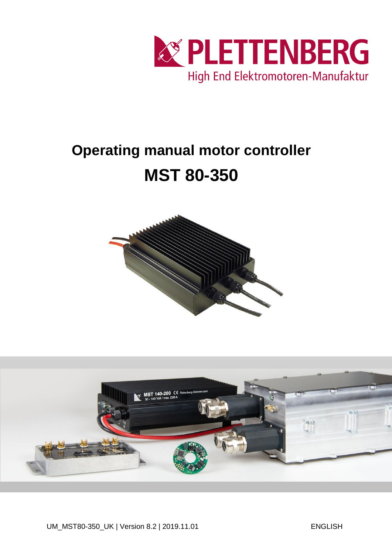

# **Operating manual motor controller MST 80-350**



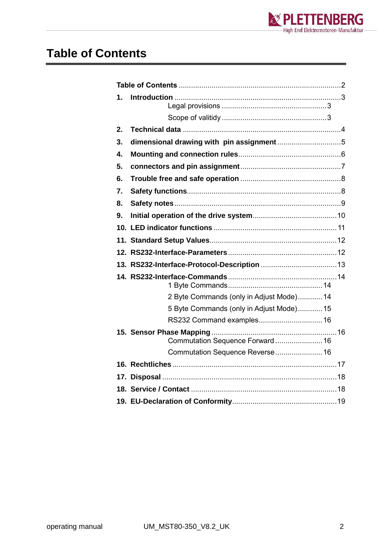

#### <span id="page-1-0"></span>**Table of Contents**

| 1. |                                          |
|----|------------------------------------------|
|    |                                          |
| 2. |                                          |
| 3. |                                          |
| 4. |                                          |
| 5. |                                          |
| 6. |                                          |
| 7. |                                          |
| 8. |                                          |
| 9. |                                          |
|    |                                          |
|    |                                          |
|    |                                          |
|    |                                          |
|    |                                          |
|    | 2 Byte Commands (only in Adjust Mode) 14 |
|    | 5 Byte Commands (only in Adjust Mode) 15 |
|    | RS232 Command examples 16                |
|    | Commutation Sequence Forward 16          |
|    | Commutation Sequence Reverse 16          |
|    |                                          |
|    |                                          |
|    |                                          |
|    |                                          |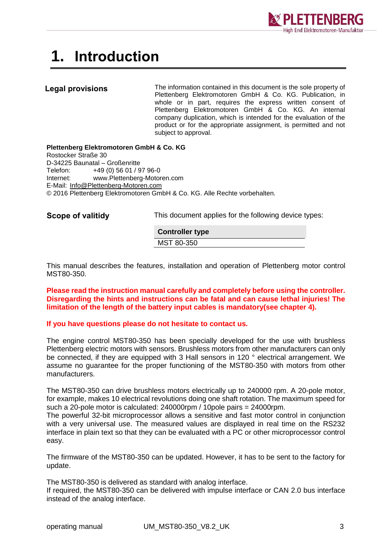

## <span id="page-2-0"></span>**1. Introduction**

#### <span id="page-2-1"></span>**Legal provisions**

The information contained in this document is the sole property of Plettenberg Elektromotoren GmbH & Co. KG. Publication, in whole or in part, requires the express written consent of Plettenberg Elektromotoren GmbH & Co. KG. An internal company duplication, which is intended for the evaluation of the product or for the appropriate assignment, is permitted and not subject to approval.

**Plettenberg Elektromotoren GmbH & Co. KG** Rostocker Straße 30 D-34225 Baunatal – Großenritte Telefon: +49 (0) 56 01 / 97 96-0 Internet: www.Plettenberg-Motoren.com E-Mail: [Info@Plettenberg-Motoren.com](mailto:Info@Plettenberg-Motoren.com) © 2016 Plettenberg Elektromotoren GmbH & Co. KG. Alle Rechte vorbehalten.

<span id="page-2-2"></span>**Scope of valitidy**

This document applies for the following device types:

**Controller type** MST 80-350

This manual describes the features, installation and operation of Plettenberg motor control MST80-350.

**Please read the instruction manual carefully and completely before using the controller. Disregarding the hints and instructions can be fatal and can cause lethal injuries! The limitation of the length of the battery input cables is mandatory(see chapter 4).**

#### **If you have questions please do not hesitate to contact us.**

The engine control MST80-350 has been specially developed for the use with brushless Plettenberg electric motors with sensors. Brushless motors from other manufacturers can only be connected, if they are equipped with 3 Hall sensors in 120 ° electrical arrangement. We assume no guarantee for the proper functioning of the MST80-350 with motors from other manufacturers.

The MST80-350 can drive brushless motors electrically up to 240000 rpm. A 20-pole motor, for example, makes 10 electrical revolutions doing one shaft rotation. The maximum speed for such a 20-pole motor is calculated: 240000rpm / 10pole pairs = 24000rpm.

The powerful 32-bit microprocessor allows a sensitive and fast motor control in conjunction with a very universal use. The measured values are displayed in real time on the RS232 interface in plain text so that they can be evaluated with a PC or other microprocessor control easy.

The firmware of the MST80-350 can be updated. However, it has to be sent to the factory for update.

The MST80-350 is delivered as standard with analog interface.

If required, the MST80-350 can be delivered with impulse interface or CAN 2.0 bus interface instead of the analog interface.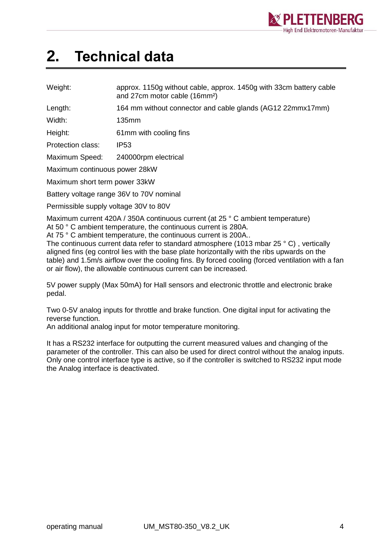

### <span id="page-3-0"></span>**2. Technical data**

| Weight: | approx. 1150g without cable, approx. 1450g with 33cm battery cable |
|---------|--------------------------------------------------------------------|
|         | and 27cm motor cable (16mm <sup>2</sup> )                          |

Length: 164 mm without connector and cable glands (AG12 22mmx17mm)

Width: 135mm

Height: 61mm with cooling fins

Protection class: IP53

Maximum Speed: 240000rpm electrical

Maximum continuous power 28kW

Maximum short term power 33kW

Battery voltage range 36V to 70V nominal

Permissible supply voltage 30V to 80V

Maximum current 420A / 350A continuous current (at 25 ° C ambient temperature) At 50 ° C ambient temperature, the continuous current is 280A.

At 75 ° C ambient temperature, the continuous current is 200A..

The continuous current data refer to standard atmosphere (1013 mbar 25 ° C) , vertically aligned fins (eg control lies with the base plate horizontally with the ribs upwards on the table) and 1.5m/s airflow over the cooling fins. By forced cooling (forced ventilation with a fan or air flow), the allowable continuous current can be increased.

5V power supply (Max 50mA) for Hall sensors and electronic throttle and electronic brake pedal.

Two 0-5V analog inputs for throttle and brake function. One digital input for activating the reverse function.

An additional analog input for motor temperature monitoring.

It has a RS232 interface for outputting the current measured values and changing of the parameter of the controller. This can also be used for direct control without the analog inputs. Only one control interface type is active, so if the controller is switched to RS232 input mode the Analog interface is deactivated.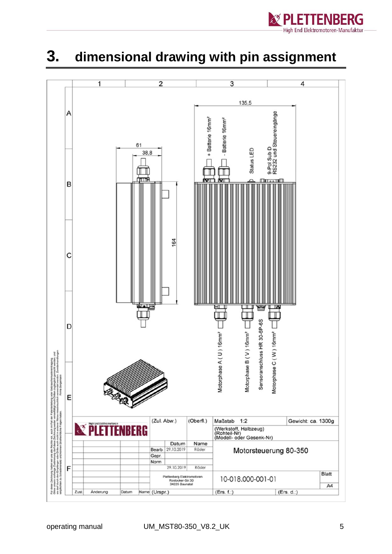

#### <span id="page-4-0"></span>**3. dimensional drawing with pin assignment**

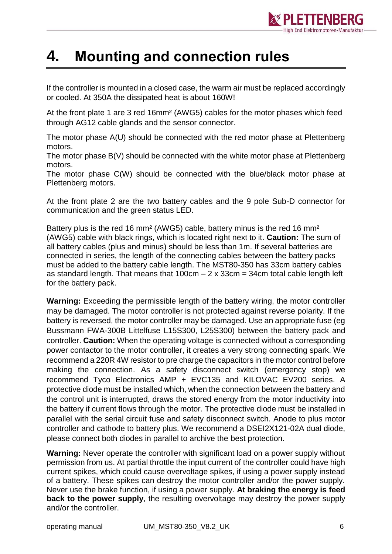

#### <span id="page-5-0"></span>**4. Mounting and connection rules**

If the controller is mounted in a closed case, the warm air must be replaced accordingly or cooled. At 350A the dissipated heat is about 160W!

At the front plate 1 are 3 red 16mm² (AWG5) cables for the motor phases which feed through AG12 cable glands and the sensor connector.

The motor phase A(U) should be connected with the red motor phase at Plettenberg motors.

The motor phase B(V) should be connected with the white motor phase at Plettenberg motors.

The motor phase C(W) should be connected with the blue/black motor phase at Plettenberg motors.

At the front plate 2 are the two battery cables and the 9 pole Sub-D connector for communication and the green status LED.

Battery plus is the red 16 mm² (AWG5) cable, battery minus is the red 16 mm² (AWG5) cable with black rings, which is located right next to it. **Caution:** The sum of all battery cables (plus and minus) should be less than 1m. If several batteries are connected in series, the length of the connecting cables between the battery packs must be added to the battery cable length. The MST80-350 has 33cm battery cables as standard length. That means that  $100 \text{cm} - 2 \times 33 \text{cm} = 34 \text{cm}$  total cable length left for the battery pack.

**Warning:** Exceeding the permissible length of the battery wiring, the motor controller may be damaged. The motor controller is not protected against reverse polarity. If the battery is reversed, the motor controller may be damaged. Use an appropriate fuse (eg Bussmann FWA-300B Littelfuse L15S300, L25S300) between the battery pack and controller. **Caution:** When the operating voltage is connected without a corresponding power contactor to the motor controller, it creates a very strong connecting spark. We recommend a 220R 4W resistor to pre charge the capacitors in the motor control before making the connection. As a safety disconnect switch (emergency stop) we recommend Tyco Electronics AMP + EVC135 and KILOVAC EV200 series. A protective diode must be installed which, when the connection between the battery and the control unit is interrupted, draws the stored energy from the motor inductivity into the battery if current flows through the motor. The protective diode must be installed in parallel with the serial circuit fuse and safety disconnect switch. Anode to plus motor controller and cathode to battery plus. We recommend a DSEI2X121-02A dual diode, please connect both diodes in parallel to archive the best protection.

**Warning:** Never operate the controller with significant load on a power supply without permission from us. At partial throttle the input current of the controller could have high current spikes, which could cause overvoltage spikes, if using a power supply instead of a battery. These spikes can destroy the motor controller and/or the power supply. Never use the brake function, if using a power supply. **At braking the energy is feed back to the power supply**, the resulting overvoltage may destroy the power supply and/or the controller.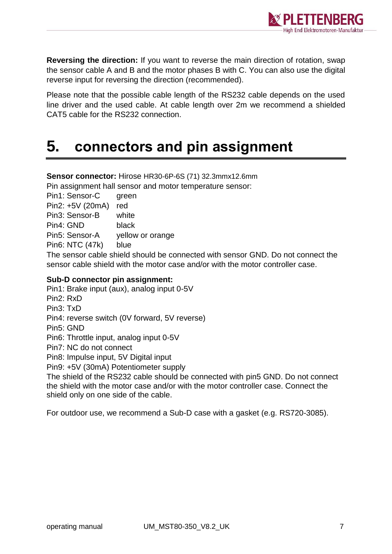

**Reversing the direction:** If you want to reverse the main direction of rotation, swap the sensor cable A and B and the motor phases B with C. You can also use the digital reverse input for reversing the direction (recommended).

Please note that the possible cable length of the RS232 cable depends on the used line driver and the used cable. At cable length over 2m we recommend a shielded CAT5 cable for the RS232 connection.

### <span id="page-6-0"></span>**5. connectors and pin assignment**

**Sensor connector:** Hirose HR30-6P-6S (71) 32.3mmx12.6mm Pin assignment hall sensor and motor temperature sensor:

Pin1: Sensor-C green Pin2: +5V (20mA) red Pin3: Sensor-B white Pin4: GND black Pin5: Sensor-A yellow or orange Pin6: NTC (47k) blue

The sensor cable shield should be connected with sensor GND. Do not connect the sensor cable shield with the motor case and/or with the motor controller case.

#### **Sub-D connector pin assignment:**

Pin1: Brake input (aux), analog input 0-5V Pin2: RxD Pin3: TxD Pin4: reverse switch (0V forward, 5V reverse) Pin5: GND Pin6: Throttle input, analog input 0-5V Pin7: NC do not connect Pin8: Impulse input, 5V Digital input Pin9: +5V (30mA) Potentiometer supply

The shield of the RS232 cable should be connected with pin5 GND. Do not connect the shield with the motor case and/or with the motor controller case. Connect the shield only on one side of the cable.

For outdoor use, we recommend a Sub-D case with a gasket (e.g. RS720-3085).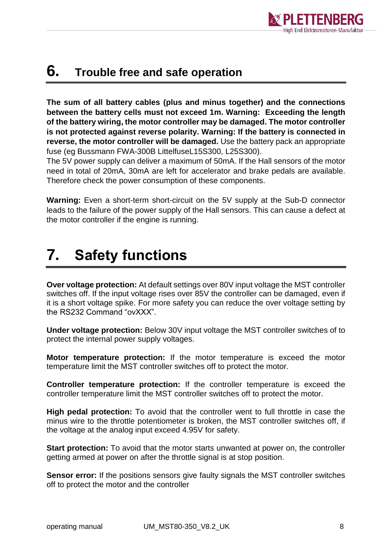

#### <span id="page-7-0"></span>**6. Trouble free and safe operation**

**The sum of all battery cables (plus and minus together) and the connections between the battery cells must not exceed 1m. Warning: Exceeding the length of the battery wiring, the motor controller may be damaged. The motor controller is not protected against reverse polarity. Warning: If the battery is connected in reverse, the motor controller will be damaged.** Use the battery pack an appropriate fuse (eg Bussmann FWA-300B LittelfuseL15S300, L25S300).

The 5V power supply can deliver a maximum of 50mA. If the Hall sensors of the motor need in total of 20mA, 30mA are left for accelerator and brake pedals are available. Therefore check the power consumption of these components.

**Warning:** Even a short-term short-circuit on the 5V supply at the Sub-D connector leads to the failure of the power supply of the Hall sensors. This can cause a defect at the motor controller if the engine is running.

### <span id="page-7-1"></span>**7. Safety functions**

**Over voltage protection:** At default settings over 80V input voltage the MST controller switches off. If the input voltage rises over 85V the controller can be damaged, even if it is a short voltage spike. For more safety you can reduce the over voltage setting by the RS232 Command "ovXXX".

**Under voltage protection:** Below 30V input voltage the MST controller switches of to protect the internal power supply voltages.

**Motor temperature protection:** If the motor temperature is exceed the motor temperature limit the MST controller switches off to protect the motor.

**Controller temperature protection:** If the controller temperature is exceed the controller temperature limit the MST controller switches off to protect the motor.

**High pedal protection:** To avoid that the controller went to full throttle in case the minus wire to the throttle potentiometer is broken, the MST controller switches off, if the voltage at the analog input exceed 4.95V for safety.

**Start protection:** To avoid that the motor starts unwanted at power on, the controller getting armed at power on after the throttle signal is at stop position.

**Sensor error:** If the positions sensors give faulty signals the MST controller switches off to protect the motor and the controller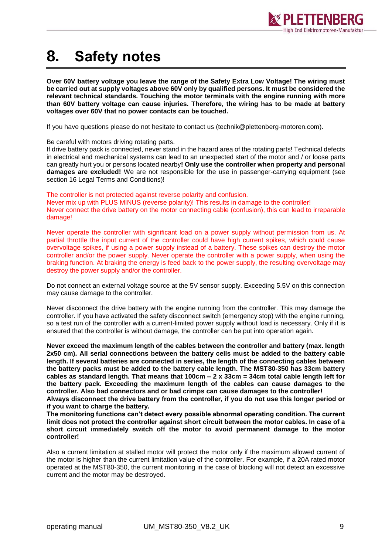

### <span id="page-8-0"></span>**8. Safety notes**

**Over 60V battery voltage you leave the range of the Safety Extra Low Voltage! The wiring must be carried out at supply voltages above 60V only by qualified persons. It must be considered the relevant technical standards. Touching the motor terminals with the engine running with more than 60V battery voltage can cause injuries. Therefore, the wiring has to be made at battery voltages over 60V that no power contacts can be touched.**

If you have questions please do not hesitate to contact us (technik@plettenberg-motoren.com).

Be careful with motors driving rotating parts.

If drive battery pack is connected, never stand in the hazard area of the rotating parts! Technical defects in electrical and mechanical systems can lead to an unexpected start of the motor and / or loose parts can greatly hurt you or persons located nearby**! Only use the controller when property and personal damages are excluded!** We are not responsible for the use in passenger-carrying equipment (see section 16 Legal Terms and Conditions)!

The controller is not protected against reverse polarity and confusion.

Never mix up with PLUS MINUS (reverse polarity)! This results in damage to the controller! Never connect the drive battery on the motor connecting cable (confusion), this can lead to irreparable damage!

Never operate the controller with significant load on a power supply without permission from us. At partial throttle the input current of the controller could have high current spikes, which could cause overvoltage spikes, if using a power supply instead of a battery. These spikes can destroy the motor controller and/or the power supply. Never operate the controller with a power supply, when using the braking function. At braking the energy is feed back to the power supply, the resulting overvoltage may destroy the power supply and/or the controller.

Do not connect an external voltage source at the 5V sensor supply. Exceeding 5.5V on this connection may cause damage to the controller.

Never disconnect the drive battery with the engine running from the controller. This may damage the controller. If you have activated the safety disconnect switch (emergency stop) with the engine running, so a test run of the controller with a current-limited power supply without load is necessary. Only if it is ensured that the controller is without damage, the controller can be put into operation again.

**Never exceed the maximum length of the cables between the controller and battery (max. length 2x50 cm). All serial connections between the battery cells must be added to the battery cable length. If several batteries are connected in series, the length of the connecting cables between the battery packs must be added to the battery cable length. The MST80-350 has 33cm battery cables as standard length. That means that 100cm – 2 x 33cm = 34cm total cable length left for the battery pack. Exceeding the maximum length of the cables can cause damages to the controller. Also bad connectors and or bad crimps can cause damages to the controller! Always disconnect the drive battery from the controller, if you do not use this longer period or** 

**if you want to charge the battery.**

**The monitoring functions can't detect every possible abnormal operating condition. The current limit does not protect the controller against short circuit between the motor cables. In case of a short circuit immediately switch off the motor to avoid permanent damage to the motor controller!**

Also a current limitation at stalled motor will protect the motor only if the maximum allowed current of the motor is higher than the current limitation value of the controller. For example, if a 20A rated motor operated at the MST80-350, the current monitoring in the case of blocking will not detect an excessive current and the motor may be destroyed.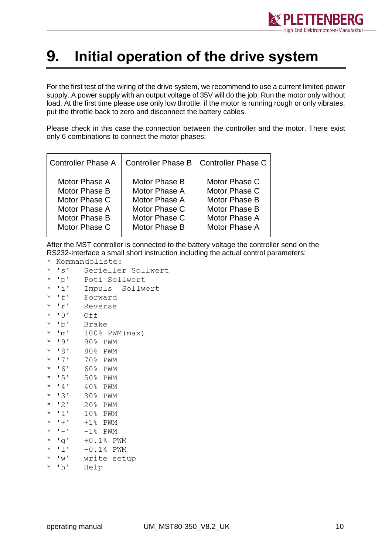

#### <span id="page-9-0"></span>**9. Initial operation of the drive system**

For the first test of the wiring of the drive system, we recommend to use a current limited power supply. A power supply with an output voltage of 35V will do the job. Run the motor only without load. At the first time please use only low throttle, if the motor is running rough or only vibrates, put the throttle back to zero and disconnect the battery cables.

Please check in this case the connection between the controller and the motor. There exist only 6 combinations to connect the motor phases:

| <b>Controller Phase A</b> |               | Controller Phase B   Controller Phase C |
|---------------------------|---------------|-----------------------------------------|
| Motor Phase A             | Motor Phase B | Motor Phase C                           |
| Motor Phase B             | Motor Phase A | Motor Phase C                           |
| Motor Phase C             | Motor Phase A | Motor Phase B                           |
| Motor Phase A             | Motor Phase C | Motor Phase B                           |
| Motor Phase B             | Motor Phase C | Motor Phase A                           |
| Motor Phase C             | Motor Phase B | Motor Phase A                           |

After the MST controller is connected to the battery voltage the controller send on the RS232-Interface a small short instruction including the actual control parameters:

- \* Kommandoliste:
- \* 's' Serieller Sollwert
- \* 'p' Poti Sollwert
- \* 'i' Impuls Sollwert
- \* 'f' Forward \* 'r' Reverse
- 
- \* '0' Off
- \* 'b' Brake
- $*$  'm'  $100\%$  PWM (max)
- \* '9' 90% PWM
- \* '8' 80% PWM
- \* '7' 70% PWM
- \* '6' 60% PWM
- \* '5' 50% PWM
- \* '4' 40% PWM
- \* '3' 30% PWM
- \* '2' 20% PWM
- \* '1' 10% PWM
- $\star$  '+' +1% PWM
- $\star$  '-' -1% PWM
- \* 'g' +0.1% PWM
- \* 'l' -0.1% PWM
- \* 'w' write setup
- \* 'h' Help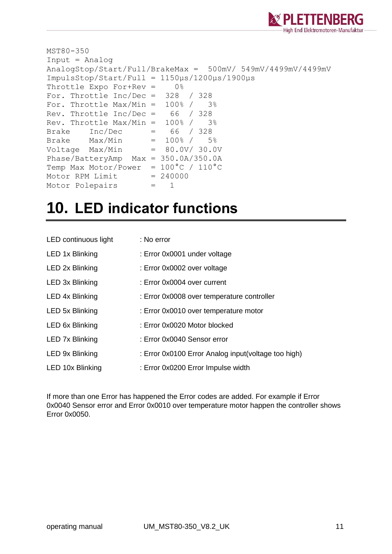

```
MST80-350
Input = Analog
AnalogStop/Start/Full/BrakeMax = 500mV/ 549mV/4499mV/4499mV
ImpulsStop/Start/Full = 1150µs/1200µs/1900µs
Throttle Expo For+Rev = 0%
For. Throttle Inc/Dec = 328 / 328
For. Throttle Max/Min = 100\frac{8}{7} 3%
Rev. Throttle Inc/Dec = 66 / 328
Rev. Throttle Max/Min = 100\% / 3\%Brake Inc/Dec = 66 / 328
Brake Max/Min = 100\frac{8}{7} 5%
Voltage Max/Min = 80.0V/ 30.0V
Phase/BatteryAmp Max = 350.0A/350.0A
Temp Max Motor/Power = 100^{\circ}C / 110^{\circ}C
Motor RPM Limit = 240000Motor Polepairs = 1
```
#### <span id="page-10-0"></span>**10. LED indicator functions**

| LED continuous light   | : No error                                          |
|------------------------|-----------------------------------------------------|
| LED 1x Blinking        | : Error 0x0001 under voltage                        |
| LED 2x Blinking        | : Error 0x0002 over voltage                         |
| LED 3x Blinking        | : Error 0x0004 over current                         |
| LED 4x Blinking        | : Error 0x0008 over temperature controller          |
| LED 5x Blinking        | : Error 0x0010 over temperature motor               |
| LED 6x Blinking        | : Error 0x0020 Motor blocked                        |
| <b>LED 7x Blinking</b> | : Error 0x0040 Sensor error                         |
| LED 9x Blinking        | : Error 0x0100 Error Analog input(voltage too high) |
| LED 10x Blinking       | : Error 0x0200 Error Impulse width                  |

If more than one Error has happened the Error codes are added. For example if Error 0x0040 Sensor error and Error 0x0010 over temperature motor happen the controller shows Error 0x0050.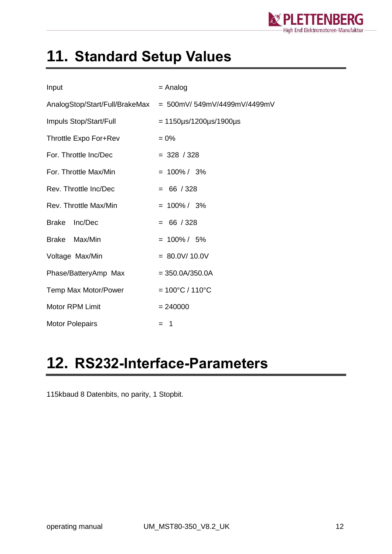

## <span id="page-11-0"></span>**11. Standard Setup Values**

| Input                   | $=$ Analog                                                 |  |  |
|-------------------------|------------------------------------------------------------|--|--|
|                         | AnalogStop/Start/Full/BrakeMax = 500mV/549mV/4499mV/4499mV |  |  |
| Impuls Stop/Start/Full  | $= 1150 \mu s / 1200 \mu s / 1900 \mu s$                   |  |  |
| Throttle Expo For+Rev   | $= 0\%$                                                    |  |  |
| For. Throttle Inc/Dec   | $= 328 / 328$                                              |  |  |
| For. Throttle Max/Min   | $= 100\% / 3\%$                                            |  |  |
| Rev. Throttle Inc/Dec   | $= 66 / 328$                                               |  |  |
| Rev. Throttle Max/Min   | $= 100\% / 3\%$                                            |  |  |
| Inc/Dec<br><b>Brake</b> | $= 66 / 328$                                               |  |  |
| Brake Max/Min           | $= 100\% / 5\%$                                            |  |  |
| Voltage Max/Min         | $= 80.0 V/ 10.0 V$                                         |  |  |
| Phase/BatteryAmp Max    | $= 350.0A/350.0A$                                          |  |  |
| Temp Max Motor/Power    | $= 100^{\circ}$ C / 110 $^{\circ}$ C                       |  |  |
| <b>Motor RPM Limit</b>  | $= 240000$                                                 |  |  |
| <b>Motor Polepairs</b>  | $=$ 1                                                      |  |  |

### <span id="page-11-1"></span>**12. RS232-Interface-Parameters**

115kbaud 8 Datenbits, no parity, 1 Stopbit.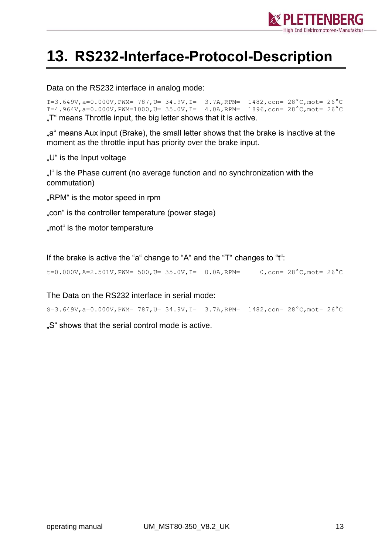

### <span id="page-12-0"></span>**13. RS232-Interface-Protocol-Description**

Data on the RS232 interface in analog mode:

T=3.649V, a=0.000V, PWM= 787, U= 34.9V, I= 3.7A, RPM=  $1482$ , con=  $28^{\circ}$ C, mot=  $26^{\circ}$ C T=4.964V, a=0.000V, PWM=1000, U= 35.0V, I= 4.0A, RPM=  $1896$ , con=  $28^{\circ}$ C, mot=  $26^{\circ}$ C ..T" means Throttle input, the big letter shows that it is active.

"a" means Aux input (Brake), the small letter shows that the brake is inactive at the moment as the throttle input has priority over the brake input.

"U" is the Input voltage

"I" is the Phase current (no average function and no synchronization with the commutation)

"RPM" is the motor speed in rpm

"con" is the controller temperature (power stage)

..mot" is the motor temperature

If the brake is active the "a" change to "A" and the "T" changes to "t":

t=0.000V, A=2.501V, PWM= 500, U= 35.0V, I= 0.0A, RPM= 0, con=  $28^{\circ}$ C, mot=  $26^{\circ}$ C

The Data on the RS232 interface in serial mode:

S=3.649V,a=0.000V,PWM= 787,U= 34.9V,I= 3.7A,RPM= 1482,con= 28°C,mot= 26°C

..S" shows that the serial control mode is active.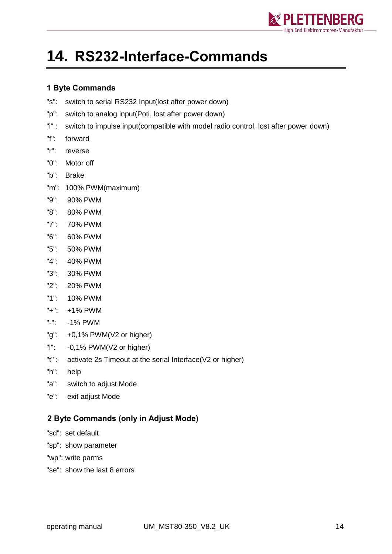

## <span id="page-13-0"></span>**14. RS232-Interface-Commands**

#### <span id="page-13-1"></span>**1 Byte Commands**

- "s": switch to serial RS232 Input(lost after power down)
- "p": switch to analog input(Poti, lost after power down)
- "i" : switch to impulse input(compatible with model radio control, lost after power down)
- "f": forward
- "r": reverse
- "0": Motor off
- "b": Brake
- "m": 100% PWM(maximum)
- "9": 90% PWM
- "8": 80% PWM
- "7": 70% PWM
- "6": 60% PWM
- "5": 50% PWM
- "4": 40% PWM
- "3": 30% PWM
- "2": 20% PWM
- "1": 10% PWM
- "+": +1% PWM
- "-": -1% PWM
- "g": +0,1% PWM(V2 or higher)
- "l": -0,1% PWM(V2 or higher)
- "t" : activate 2s Timeout at the serial Interface(V2 or higher)
- "h": help
- "a": switch to adjust Mode
- "e": exit adjust Mode

#### <span id="page-13-2"></span>**2 Byte Commands (only in Adjust Mode)**

- "sd": set default
- "sp": show parameter
- "wp": write parms
- "se": show the last 8 errors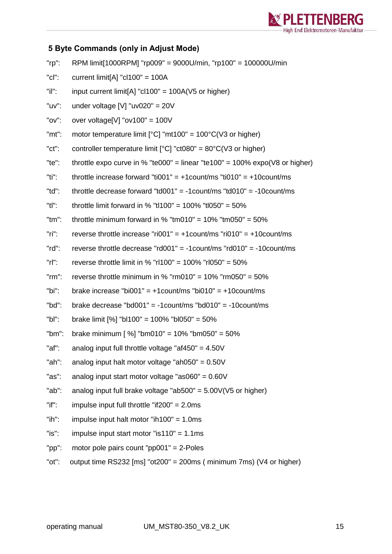

#### <span id="page-14-0"></span>**5 Byte Commands (only in Adjust Mode)**

| $"rp"$ :    | RPM limit[1000RPM] "rp009" = 9000U/min, "rp100" = 100000U/min                        |
|-------------|--------------------------------------------------------------------------------------|
| $"$ c $"$ : | current limit[A] " $cl100" = 100A$                                                   |
| "il":       | input current limit[A] " $c1100$ " = 100A(V5 or higher)                              |
| "uv":       | under voltage [V] "uv020" = $20V$                                                    |
| "ov":       | over voltage [V] " $ov100$ " = 100V                                                  |
| "mt":       | motor temperature limit $[°C]$ "mt100" = 100 $°C$ (V3 or higher)                     |
| "ct":       | controller temperature limit $[°C]$ "ct080" = 80 $°C($ V3 or higher)                 |
| "te":       | throttle expo curve in % "te000" = linear "te100" = 100% expo( $\sqrt{8}$ or higher) |
| "ti":       | throttle increase forward "ti001" = $+1$ count/ms "ti010" = $+10$ count/ms           |
| "td":       | throttle decrease forward "td001" = -1 count/ms "td010" = -10 count/ms               |
| "tl":       | throttle limit forward in % "tl100" = 100% "tl050" = 50%                             |
| $"tm"$ :    | throttle minimum forward in % "tm010" = $10\%$ "tm050" = $50\%$                      |
| $"$ ri":    | reverse throttle increase "ri001" = $+1$ count/ms "ri010" = $+10$ count/ms           |
| $"rd"$ :    | reverse throttle decrease "rd001" = $-1$ count/ms "rd010" = $-10$ count/ms           |
| $"r"$ :     | reverse throttle limit in % "rl100" = 100% "rl050" = 50%                             |
| $"rm$ :     | reverse throttle minimum in % " $rm 010" = 10\%$ " $rm 050" = 50\%$                  |
| "bi":       | brake increase "bi001" = $+1$ count/ms "bi010" = $+10$ count/ms                      |
| "bd":       | brake decrease "bd001" = -1count/ms "bd010" = -10count/ms                            |
| $"bl"$ :    | brake limit [%] "bl100" = 100% "bl050" = 50%                                         |
| " $bm$ ":   | brake minimum [ $\%$ ] "bm010" = 10% "bm050" = 50%                                   |
| "af":       | analog input full throttle voltage "af450" = $4.50V$                                 |
| " $ah$ ":   | analog input halt motor voltage "ah050" = $0.50V$                                    |
| "as":       | analog input start motor voltage "as060" = $0.60V$                                   |
| "ab":       | analog input full brake voltage "ab500" = $5.00V(V5$ or higher)                      |
| $"$ if":    | impulse input full throttle "if $200" = 2.0$ ms                                      |
| $"ih"$ :    | impulse input halt motor "ih100" = $1.0$ ms                                          |
| $"$ is":    | impulse input start motor "is110" = $1.1$ ms                                         |

- "pp": motor pole pairs count "pp001" = 2-Poles
- "ot": output time RS232 [ms] "ot200" = 200ms ( minimum 7ms) (V4 or higher)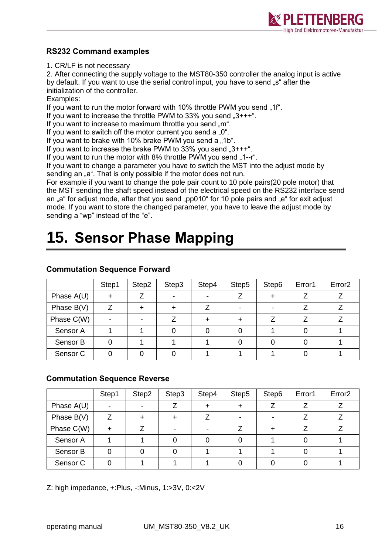

#### <span id="page-15-0"></span>**RS232 Command examples**

1. CR/LF is not necessary

2. After connecting the supply voltage to the MST80-350 controller the analog input is active by default. If you want to use the serial control input, you have to send "s" after the initialization of the controller.

Examples:

If you want to run the motor forward with 10% throttle PWM you send "1f".

If you want to increase the throttle PWM to 33% you send  $.3+++$ ".

If you want to increase to maximum throttle you send .m.".

If you want to switch off the motor current you send a  $.0^{\circ}$ .

If you want to brake with 10% brake PWM you send a "1b".

If you want to increase the brake PWM to  $33\%$  you send  $.3***$ .

If you want to run the motor with 8% throttle PWM you send "1--r".

If you want to change a parameter you have to switch the MST into the adjust mode by sending an "a". That is only possible if the motor does not run.

For example if you want to change the pole pair count to 10 pole pairs(20 pole motor) that the MST sending the shaft speed instead of the electrical speed on the RS232 interface send an "a" for adjust mode, after that you send "pp010" for 10 pole pairs and "e" for exit adjust mode. If you want to store the changed parameter, you have to leave the adjust mode by sending a "wp" instead of the "e".

## <span id="page-15-1"></span>**15. Sensor Phase Mapping**

|                     | Step1                    | Step2 | Step3 | Step4 | Step5 | Step6 | Error1 | Error <sub>2</sub> |
|---------------------|--------------------------|-------|-------|-------|-------|-------|--------|--------------------|
| Phase A(U)          |                          |       |       |       |       |       |        |                    |
| Phase B(V)          |                          |       |       |       |       |       |        |                    |
| Phase C(W)          | $\overline{\phantom{a}}$ |       |       |       |       |       |        |                    |
| Sensor A            |                          |       |       |       |       |       |        |                    |
| Sensor B            |                          |       |       |       |       |       |        |                    |
| Sensor <sub>C</sub> |                          |       |       |       |       |       |        |                    |

#### <span id="page-15-2"></span>**Commutation Sequence Forward**

#### <span id="page-15-3"></span>**Commutation Sequence Reverse**

|                     | Step1 | Step2 | Step3 | Step4 | Step5 | Step6 | Error1 | Error <sub>2</sub> |
|---------------------|-------|-------|-------|-------|-------|-------|--------|--------------------|
| Phase $A(U)$        | -     |       |       |       |       |       |        |                    |
| Phase $B(V)$        |       |       |       |       |       |       |        |                    |
| Phase C(W)          |       |       |       |       |       |       |        |                    |
| Sensor A            |       |       |       |       |       |       |        |                    |
| Sensor B            |       |       |       |       |       |       |        |                    |
| Sensor <sub>C</sub> |       |       |       |       |       |       |        |                    |

Z: high impedance, +:Plus, -:Minus, 1:>3V, 0:<2V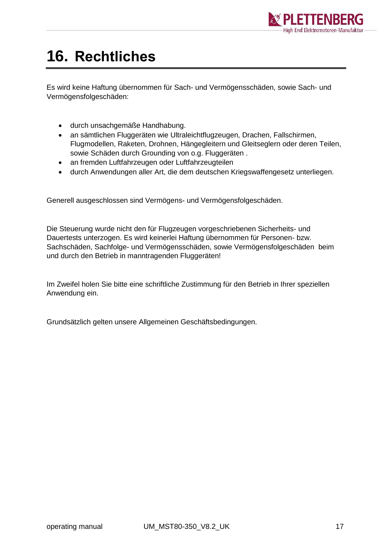

## <span id="page-16-0"></span>**16. Rechtliches**

Es wird keine Haftung übernommen für Sach- und Vermögensschäden, sowie Sach- und Vermögensfolgeschäden:

- durch unsachgemäße Handhabung.
- an sämtlichen Fluggeräten wie Ultraleichtflugzeugen, Drachen, Fallschirmen, Flugmodellen, Raketen, Drohnen, Hängegleitern und Gleitseglern oder deren Teilen, sowie Schäden durch Grounding von o.g. Fluggeräten .
- an fremden Luftfahrzeugen oder Luftfahrzeugteilen
- durch Anwendungen aller Art, die dem deutschen Kriegswaffengesetz unterliegen.

Generell ausgeschlossen sind Vermögens- und Vermögensfolgeschäden.

Die Steuerung wurde nicht den für Flugzeugen vorgeschriebenen Sicherheits- und Dauertests unterzogen. Es wird keinerlei Haftung übernommen für Personen- bzw. Sachschäden, Sachfolge- und Vermögensschäden, sowie Vermögensfolgeschäden beim und durch den Betrieb in manntragenden Fluggeräten!

Im Zweifel holen Sie bitte eine schriftliche Zustimmung für den Betrieb in Ihrer speziellen Anwendung ein.

Grundsätzlich gelten unsere Allgemeinen Geschäftsbedingungen.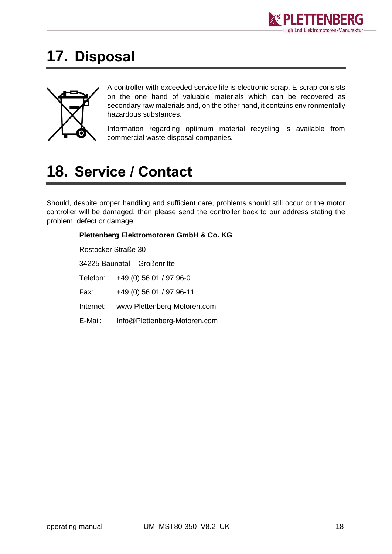

### <span id="page-17-0"></span>**17. Disposal**



A controller with exceeded service life is electronic scrap. E-scrap consists on the one hand of valuable materials which can be recovered as secondary raw materials and, on the other hand, it contains environmentally hazardous substances.

Information regarding optimum material recycling is available from commercial waste disposal companies.

### <span id="page-17-1"></span>**18. Service / Contact**

Should, despite proper handling and sufficient care, problems should still occur or the motor controller will be damaged, then please send the controller back to our address stating the problem, defect or damage.

#### **Plettenberg Elektromotoren GmbH & Co. KG** Rostocker Straße 30 34225 Baunatal – Großenritte Telefon: +49 (0) 56 01 / 97 96-0 Fax: +49 (0) 56 01 / 97 96-11 Internet: www.Plettenberg-Motoren.com E-Mail: [Info@Plettenberg-Motoren.com](mailto:Info@Plettenberg-Motoren.com)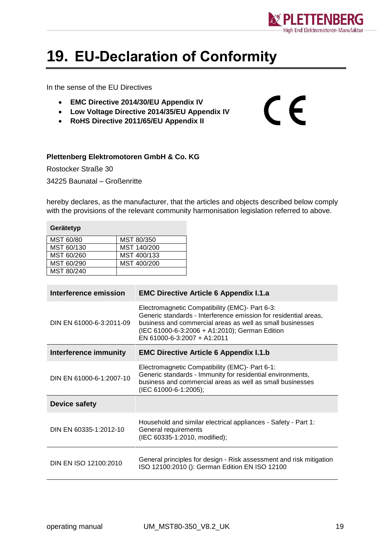

 $\epsilon$ 

## <span id="page-18-0"></span>**19. EU-Declaration of Conformity**

In the sense of the EU Directives

- **EMC Directive 2014/30/EU Appendix IV**
- **Low Voltage Directive 2014/35/EU Appendix IV**
- **RoHS Directive 2011/65/EU Appendix II**

#### **Plettenberg Elektromotoren GmbH & Co. KG**

Rostocker Straße 30 34225 Baunatal – Großenritte

hereby declares, as the manufacturer, that the articles and objects described below comply with the provisions of the relevant community harmonisation legislation referred to above.

| Gerätetyp  |             |  |  |  |  |
|------------|-------------|--|--|--|--|
| MST 60/80  | MST 80/350  |  |  |  |  |
| MST 60/130 | MST 140/200 |  |  |  |  |
| MST 60/260 | MST 400/133 |  |  |  |  |
| MST 60/290 | MST 400/200 |  |  |  |  |
| MST 80/240 |             |  |  |  |  |

| Interference emission    | <b>EMC Directive Article 6 Appendix I.1.a</b>                                                                                                                                                                                                                    |  |  |  |
|--------------------------|------------------------------------------------------------------------------------------------------------------------------------------------------------------------------------------------------------------------------------------------------------------|--|--|--|
| DIN EN 61000-6-3:2011-09 | Electromagnetic Compatibility (EMC)- Part 6-3:<br>Generic standards - Interference emission for residential areas,<br>business and commercial areas as well as small businesses<br>(IEC 61000-6-3:2006 + A1:2010); German Edition<br>EN 61000-6-3:2007 + A1:2011 |  |  |  |
| Interference immunity    | <b>EMC Directive Article 6 Appendix I.1.b</b>                                                                                                                                                                                                                    |  |  |  |
| DIN EN 61000-6-1:2007-10 | Electromagnetic Compatibility (EMC)- Part 6-1:<br>Generic standards - Immunity for residential environments,<br>business and commercial areas as well as small businesses<br>(IEC 61000-6-1:2005);                                                               |  |  |  |
| Device safety            |                                                                                                                                                                                                                                                                  |  |  |  |
| DIN EN 60335-1:2012-10   | Household and similar electrical appliances - Safety - Part 1:<br>General requirements<br>(IEC 60335-1:2010, modified);                                                                                                                                          |  |  |  |
| DIN EN ISO 12100:2010    | General principles for design - Risk assessment and risk mitigation<br>ISO 12100:2010 (): German Edition EN ISO 12100                                                                                                                                            |  |  |  |